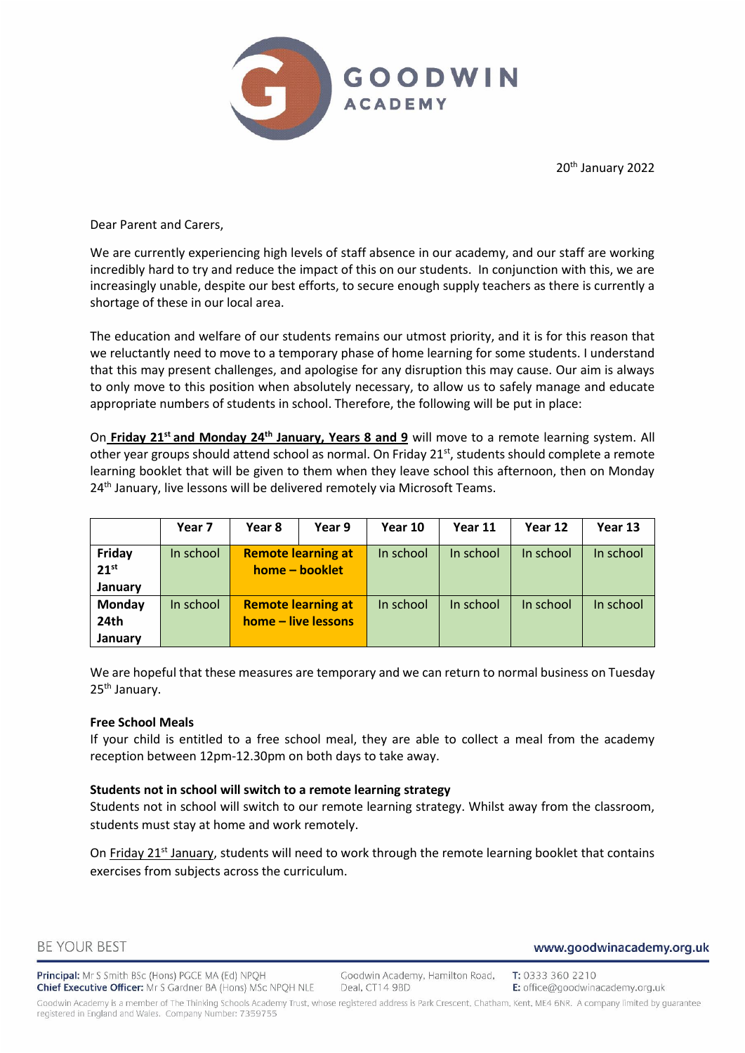

20th January 2022

Dear Parent and Carers,

We are currently experiencing high levels of staff absence in our academy, and our staff are working incredibly hard to try and reduce the impact of this on our students. In conjunction with this, we are increasingly unable, despite our best efforts, to secure enough supply teachers as there is currently a shortage of these in our local area.

The education and welfare of our students remains our utmost priority, and it is for this reason that we reluctantly need to move to a temporary phase of home learning for some students. I understand that this may present challenges, and apologise for any disruption this may cause. Our aim is always to only move to this position when absolutely necessary, to allow us to safely manage and educate appropriate numbers of students in school. Therefore, the following will be put in place:

On **Friday 21st and Monday 24th January, Years 8 and 9** will move to a remote learning system. All other year groups should attend school as normal. On Friday 21<sup>st</sup>, students should complete a remote learning booklet that will be given to them when they leave school this afternoon, then on Monday 24<sup>th</sup> January, live lessons will be delivered remotely via Microsoft Teams.

|                                | Year 7    | Year 8                                      | Year 9                                           | Year 10   | Year 11   | Year 12   | Year 13   |
|--------------------------------|-----------|---------------------------------------------|--------------------------------------------------|-----------|-----------|-----------|-----------|
| Friday<br>$21^{st}$<br>January | In school | <b>Remote learning at</b><br>home - booklet |                                                  | In school | In school | In school | In school |
| Monday<br>24th<br>January      | In school |                                             | <b>Remote learning at</b><br>home – live lessons | In school | In school | In school | In school |

We are hopeful that these measures are temporary and we can return to normal business on Tuesday 25<sup>th</sup> January.

## **Free School Meals**

If your child is entitled to a free school meal, they are able to collect a meal from the academy reception between 12pm-12.30pm on both days to take away.

## **Students not in school will switch to a remote learning strategy**

Students not in school will switch to our remote learning strategy. Whilst away from the classroom, students must stay at home and work remotely.

On Friday  $21^{st}$  January, students will need to work through the remote learning booklet that contains exercises from subjects across the curriculum.

Principal: Mr S Smith BSc (Hons) PGCE MA (Ed) NPQH Chief Executive Officer: Mr S Gardner BA (Hons) MSc NPQH NLE

Goodwin Academy, Hamilton Road, Deal, CT14 9BD

T: 0333 360 2210 E: office@goodwinacademy.org.uk

www.goodwinacademy.org.uk